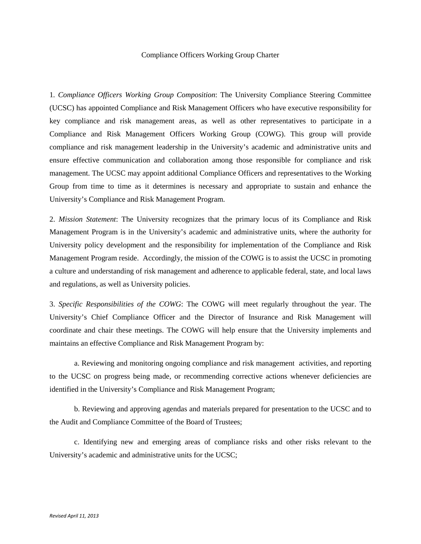## Compliance Officers Working Group Charter

1*. Compliance Officers Working Group Composition*: The University Compliance Steering Committee (UCSC) has appointed Compliance and Risk Management Officers who have executive responsibility for key compliance and risk management areas, as well as other representatives to participate in a Compliance and Risk Management Officers Working Group (COWG). This group will provide compliance and risk management leadership in the University's academic and administrative units and ensure effective communication and collaboration among those responsible for compliance and risk management. The UCSC may appoint additional Compliance Officers and representatives to the Working Group from time to time as it determines is necessary and appropriate to sustain and enhance the University's Compliance and Risk Management Program.

2. *Mission Statement*: The University recognizes that the primary locus of its Compliance and Risk Management Program is in the University's academic and administrative units, where the authority for University policy development and the responsibility for implementation of the Compliance and Risk Management Program reside. Accordingly, the mission of the COWG is to assist the UCSC in promoting a culture and understanding of risk management and adherence to applicable federal, state, and local laws and regulations, as well as University policies.

3. *Specific Responsibilities of the COWG*: The COWG will meet regularly throughout the year. The University's Chief Compliance Officer and the Director of Insurance and Risk Management will coordinate and chair these meetings. The COWG will help ensure that the University implements and maintains an effective Compliance and Risk Management Program by:

a. Reviewing and monitoring ongoing compliance and risk management activities, and reporting to the UCSC on progress being made, or recommending corrective actions whenever deficiencies are identified in the University's Compliance and Risk Management Program;

b. Reviewing and approving agendas and materials prepared for presentation to the UCSC and to the Audit and Compliance Committee of the Board of Trustees;

c. Identifying new and emerging areas of compliance risks and other risks relevant to the University's academic and administrative units for the UCSC;